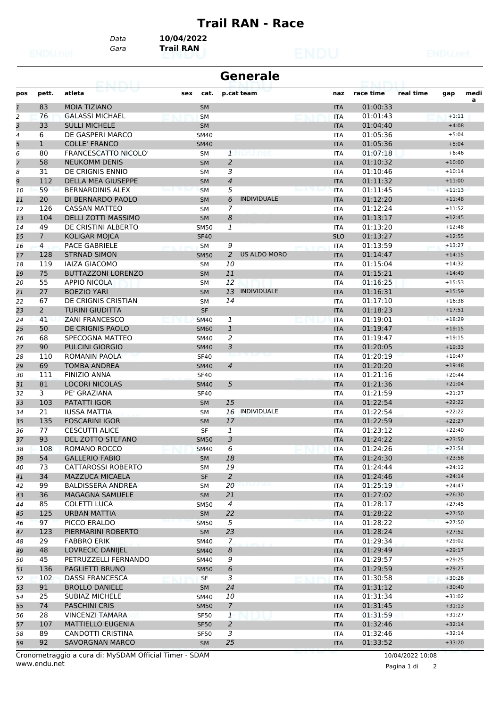## **Trail RAN - Race**

*Gara* **Trail RAN** *Data* **10/04/2022**

| <b>Generale</b> |                |                             |             |                          |                     |  |            |           |           |          |           |
|-----------------|----------------|-----------------------------|-------------|--------------------------|---------------------|--|------------|-----------|-----------|----------|-----------|
| pos             | pett.          | atleta                      | cat.<br>sex |                          | p.cat team          |  | naz        | race time | real time | gap      | medi<br>a |
| $\overline{1}$  | 83             | <b>MOIA TIZIANO</b>         | <b>SM</b>   |                          |                     |  | <b>ITA</b> | 01:00:33  |           |          |           |
| $\overline{a}$  | 76             | <b>GALASSI MICHAEL</b>      | <b>SM</b>   |                          |                     |  | <b>ITA</b> | 01:01:43  |           | $+1:11$  |           |
| 3               | 33             | <b>SULLI MICHELE</b>        | <b>SM</b>   |                          |                     |  | <b>ITA</b> | 01:04:40  |           | $+4:08$  |           |
| 4               | 6              | DE GASPERI MARCO            | <b>SM40</b> |                          |                     |  | <b>ITA</b> | 01:05:36  |           | $+5:04$  |           |
| 5               | $\mathbf{1}$   | <b>COLLE' FRANCO</b>        | <b>SM40</b> |                          |                     |  | <b>ITA</b> | 01:05:36  |           | $+5:04$  |           |
| 6               | 80             | <b>FRANCESCATTO NICOLO'</b> | <b>SM</b>   | 1                        | punei               |  | <b>ITA</b> | 01:07:18  |           | $+6:46$  |           |
| $\overline{7}$  | 58             | <b>NEUKOMM DENIS</b>        | <b>SM</b>   | $\overline{a}$           |                     |  | <b>ITA</b> | 01:10:32  |           | $+10:00$ |           |
| 8               | 31             | DE CRIGNIS ENNIO            | SΜ          | 3                        |                     |  | <b>ITA</b> | 01:10:46  |           | $+10:14$ |           |
| 9               | 112            | <b>DELLA MEA GIUSEPPE</b>   | <b>SM</b>   | $\overline{\mathcal{A}}$ |                     |  | <b>ITA</b> | 01:11:32  |           | $+11:00$ |           |
| 10              | 59             | <b>BERNARDINIS ALEX</b>     | <b>SM</b>   | 5                        |                     |  | <b>ITA</b> | 01:11:45  |           | $+11:13$ |           |
| 11              | 20             | DI BERNARDO PAOLO           | <b>SM</b>   | 6                        | <b>INDIVIDUALE</b>  |  | <b>ITA</b> | 01:12:20  |           | $+11:48$ |           |
| 12              | 126            | <b>CASSAN MATTEO</b>        | <b>SM</b>   | $\overline{7}$           |                     |  | <b>ITA</b> | 01:12:24  |           | $+11:52$ |           |
| 13              | 104            | DELLI ZOTTI MASSIMO         | <b>SM</b>   | 8                        |                     |  | <b>ITA</b> | 01:13:17  |           | $+12:45$ |           |
| 14              | 49             | DE CRISTINI ALBERTO         | <b>SM50</b> | $\overline{1}$           |                     |  | <b>ITA</b> | 01:13:20  |           | $+12:48$ |           |
| 15              | $\overline{7}$ | KOLIGAR MOJCA               | <b>SF40</b> |                          |                     |  | <b>SLO</b> | 01:13:27  |           | $+12:55$ |           |
| 16              | 4              | PACE GABRIELE               | <b>SM</b>   | 9                        |                     |  | <b>ITA</b> | 01:13:59  |           | $+13:27$ |           |
| 17              | 128            | <b>STRNAD SIMON</b>         | <b>SM50</b> | $\overline{a}$           | <b>US ALDO MORO</b> |  | <b>ITA</b> | 01:14:47  |           | $+14:15$ |           |
| 18              | 119            | <b>IAIZA GIACOMO</b>        | <b>SM</b>   | 10                       |                     |  | <b>ITA</b> | 01:15:04  |           | $+14:32$ |           |
| 19              | 75             | <b>BUTTAZZONI LORENZO</b>   | <b>SM</b>   | 11                       |                     |  | <b>ITA</b> | 01:15:21  |           | $+14:49$ |           |
| 20              | 55             | <b>APPIO NICOLA</b>         | <b>SM</b>   | 12                       |                     |  | <b>ITA</b> | 01:16:25  |           | $+15:53$ |           |
| 21              | 27             | <b>BOEZIO YARI</b>          | <b>SM</b>   | 13                       | <b>INDIVIDUALE</b>  |  | <b>ITA</b> | 01:16:31  |           | $+15:59$ |           |
| 22              | 67             | DE CRIGNIS CRISTIAN         | <b>SM</b>   | 14                       |                     |  | <b>ITA</b> | 01:17:10  |           | $+16:38$ |           |
| 23              | $\overline{2}$ | <b>TURINI GIUDITTA</b>      | <b>SF</b>   |                          |                     |  | <b>ITA</b> | 01:18:23  |           | $+17:51$ |           |
| 24              | 41             | <b>ZANI FRANCESCO</b>       | <b>SM40</b> | 1                        |                     |  | <b>ITA</b> | 01:19:01  |           | $+18:29$ |           |
| 25              | 50             | DE CRIGNIS PAOLO            | <b>SM60</b> | $\mathbf{1}$             |                     |  | <b>ITA</b> | 01:19:47  |           | $+19:15$ |           |
| 26              | 68             | SPECOGNA MATTEO             | SM40        | 2                        |                     |  | <b>ITA</b> | 01:19:47  |           | $+19:15$ |           |
| 27              | 90             | <b>PULCINI GIORGIO</b>      | <b>SM40</b> | 3                        |                     |  | <b>ITA</b> | 01:20:05  |           | $+19:33$ |           |
| 28              | 110            | <b>ROMANIN PAOLA</b>        | <b>SF40</b> |                          |                     |  | <b>ITA</b> | 01:20:19  |           | $+19:47$ |           |
| 29              | 69             | <b>TOMBA ANDREA</b>         | <b>SM40</b> | $\overline{\mathcal{A}}$ |                     |  | <b>ITA</b> | 01:20:20  |           | $+19:48$ |           |
| 30              | 111            | <b>FINIZIO ANNA</b>         | <b>SF40</b> |                          |                     |  | <b>ITA</b> | 01:21:16  |           | $+20:44$ |           |
| 31              | 81             | <b>LOCORI NICOLAS</b>       | <b>SM40</b> | 5                        |                     |  | <b>ITA</b> | 01:21:36  |           | $+21:04$ |           |
| 32              | 3              | PE' GRAZIANA                | <b>SF40</b> |                          |                     |  | <b>ITA</b> | 01:21:59  |           | $+21:27$ |           |
| 33              | 103            | <b>PATATTI IGOR</b>         | <b>SM</b>   | 15                       |                     |  | <b>ITA</b> | 01:22:54  |           | $+22:22$ |           |
| 34              | 21             | <b>IUSSA MATTIA</b>         | SΜ          | 16                       | INDIVIDUALE         |  | <b>ITA</b> | 01:22:54  |           | $+22:22$ |           |
| 35              | 135            | <b>FOSCARINI IGOR</b>       | <b>SM</b>   | 17                       |                     |  | <b>ITA</b> | 01:22:59  |           | $+22:27$ |           |
| 36              | 77             | <b>CESCUTTI ALICE</b>       | <b>SF</b>   | 1                        |                     |  | <b>ITA</b> | 01:23:12  |           | $+22:40$ |           |
| 37              | 93             | DEL ZOTTO STEFANO           | <b>SM50</b> | 3                        |                     |  | <b>ITA</b> | 01:24:22  |           | $+23:50$ |           |
| 38              | 108            | ROMANO ROCCO                | <b>SM40</b> | $\overline{6}$           |                     |  | <b>ITA</b> | 01:24:26  |           | $+23:54$ |           |
| 39              | 54             | <b>GALLERIO FABIO</b>       | <b>SM</b>   | 18                       |                     |  | <b>ITA</b> | 01:24:30  |           | $+23:58$ |           |
| 40              | 73             | <b>CATTAROSSI ROBERTO</b>   | <b>SM</b>   | 19                       |                     |  | ITA        | 01:24:44  |           | $+24:12$ |           |
| 41              | 34             | <b>MAZZUCA MICAELA</b>      | <b>SF</b>   | $\overline{2}$           |                     |  | <b>ITA</b> | 01:24:46  |           | $+24:14$ |           |
| 42              | 99             | <b>BALDISSERA ANDREA</b>    | SM          | 20                       | unel                |  | <b>ITA</b> | 01:25:19  |           | $+24:47$ |           |
| 43              | 36             | MAGAGNA SAMUELE             | SM          | 21                       |                     |  | <b>ITA</b> | 01:27:02  |           | $+26:30$ |           |
| 44              | 85             | COLETTI LUCA                | SM50        | $\overline{4}$           |                     |  | <b>ITA</b> | 01:28:17  |           | $+27:45$ |           |
| 45              | 125            | <b>URBAN MATTIA</b>         | <b>SM</b>   | 22                       |                     |  | <b>ITA</b> | 01:28:22  |           | $+27:50$ |           |
| 46              | 97             | PICCO ERALDO                | <b>SM50</b> | 5                        |                     |  | <b>ITA</b> | 01:28:22  |           | $+27:50$ |           |
|                 | 123            | PIERMARINI ROBERTO          | SM          | 23                       |                     |  | <b>ITA</b> | 01:28:24  |           | $+27:52$ |           |
| 47              | 29             | <b>FABBRO ERIK</b>          | SM40        | $\overline{z}$           |                     |  | <b>ITA</b> | 01:29:34  |           | $+29:02$ |           |
| 48              |                | LOVRECIC DANIJEL            |             |                          |                     |  |            |           |           | $+29:17$ |           |
| 49              | 48             |                             | SM40        | 8                        |                     |  | <b>ITA</b> | 01:29:49  |           |          |           |
| 50              | 45             | PETRUZZELLI FERNANDO        | SM40        | 9                        |                     |  | <b>ITA</b> | 01:29:57  |           | $+29:25$ |           |
| 51              | 136            | PAGLIETTI BRUNO             | <b>SM50</b> | 6                        |                     |  | <b>ITA</b> | 01:29:59  |           | $+29:27$ |           |
| 52              | 102            | <b>DASSI FRANCESCA</b>      | SF          | 3                        |                     |  | ITA        | 01:30:58  |           | $+30:26$ |           |
| 53              | 91             | <b>BROLLO DANIELE</b>       | SM          | 24                       |                     |  | <b>ITA</b> | 01:31:12  |           | $+30:40$ |           |
| 54              | 25             | SUBIAZ MICHELE              | SM40        | 10                       |                     |  | <b>ITA</b> | 01:31:34  |           | $+31:02$ |           |
| 55              | 74             | PASCHINI CRIS               | <b>SM50</b> | $\overline{7}$           |                     |  | <b>ITA</b> | 01:31:45  |           | $+31:13$ |           |
| 56              | 28             | <b>VINCENZI TAMARA</b>      | <b>SF50</b> | $\mathbf{1}$             |                     |  | <b>ITA</b> | 01:31:59  |           | $+31:27$ |           |
| 57              | 107            | <b>MATTIELLO EUGENIA</b>    | <b>SF50</b> | $\overline{a}$           |                     |  | <b>ITA</b> | 01:32:46  |           | $+32:14$ |           |
| 58              | 89             | CANDOTTI CRISTINA           | <b>SF50</b> | 3                        |                     |  | ITA        | 01:32:46  |           | $+32:14$ |           |
| 59              | 92             | <b>SAVORGNAN MARCO</b>      | SM          | 25                       |                     |  | <b>ITA</b> | 01:33:52  |           | $+33:20$ |           |

www.endu.net Cronometraggio a cura di: MySDAM Official Timer - SDAM 10/04/2022 10:08

Pagina 1 di 2